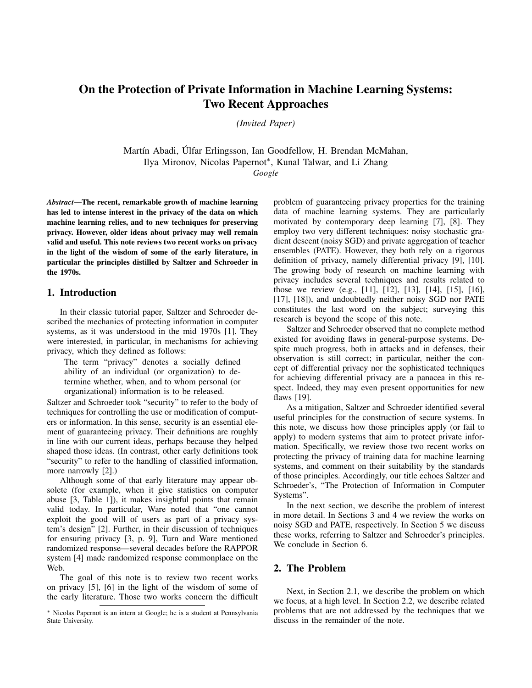# On the Protection of Private Information in Machine Learning Systems: Two Recent Approaches

*(Invited Paper)*

Martín Abadi, Úlfar Erlingsson, Ian Goodfellow, H. Brendan McMahan, Ilya Mironov, Nicolas Papernot<sup>∗</sup> , Kunal Talwar, and Li Zhang *Google*

*Abstract*—The recent, remarkable growth of machine learning has led to intense interest in the privacy of the data on which machine learning relies, and to new techniques for preserving privacy. However, older ideas about privacy may well remain valid and useful. This note reviews two recent works on privacy in the light of the wisdom of some of the early literature, in particular the principles distilled by Saltzer and Schroeder in the 1970s.

## 1. Introduction

In their classic tutorial paper, Saltzer and Schroeder described the mechanics of protecting information in computer systems, as it was understood in the mid 1970s [1]. They were interested, in particular, in mechanisms for achieving privacy, which they defined as follows:

The term "privacy" denotes a socially defined ability of an individual (or organization) to determine whether, when, and to whom personal (or organizational) information is to be released.

Saltzer and Schroeder took "security" to refer to the body of techniques for controlling the use or modification of computers or information. In this sense, security is an essential element of guaranteeing privacy. Their definitions are roughly in line with our current ideas, perhaps because they helped shaped those ideas. (In contrast, other early definitions took "security" to refer to the handling of classified information, more narrowly [2].)

Although some of that early literature may appear obsolete (for example, when it give statistics on computer abuse [3, Table 1]), it makes insightful points that remain valid today. In particular, Ware noted that "one cannot exploit the good will of users as part of a privacy system's design" [2]. Further, in their discussion of techniques for ensuring privacy [3, p. 9], Turn and Ware mentioned randomized response—several decades before the RAPPOR system [4] made randomized response commonplace on the Web.

The goal of this note is to review two recent works on privacy [5], [6] in the light of the wisdom of some of the early literature. Those two works concern the difficult problem of guaranteeing privacy properties for the training data of machine learning systems. They are particularly motivated by contemporary deep learning [7], [8]. They employ two very different techniques: noisy stochastic gradient descent (noisy SGD) and private aggregation of teacher ensembles (PATE). However, they both rely on a rigorous definition of privacy, namely differential privacy [9], [10]. The growing body of research on machine learning with privacy includes several techniques and results related to those we review (e.g., [11], [12], [13], [14], [15], [16], [17], [18]), and undoubtedly neither noisy SGD nor PATE constitutes the last word on the subject; surveying this research is beyond the scope of this note.

Saltzer and Schroeder observed that no complete method existed for avoiding flaws in general-purpose systems. Despite much progress, both in attacks and in defenses, their observation is still correct; in particular, neither the concept of differential privacy nor the sophisticated techniques for achieving differential privacy are a panacea in this respect. Indeed, they may even present opportunities for new flaws [19].

As a mitigation, Saltzer and Schroeder identified several useful principles for the construction of secure systems. In this note, we discuss how those principles apply (or fail to apply) to modern systems that aim to protect private information. Specifically, we review those two recent works on protecting the privacy of training data for machine learning systems, and comment on their suitability by the standards of those principles. Accordingly, our title echoes Saltzer and Schroeder's, "The Protection of Information in Computer Systems".

In the next section, we describe the problem of interest in more detail. In Sections 3 and 4 we review the works on noisy SGD and PATE, respectively. In Section 5 we discuss these works, referring to Saltzer and Schroeder's principles. We conclude in Section 6.

# 2. The Problem

Next, in Section 2.1, we describe the problem on which we focus, at a high level. In Section 2.2, we describe related problems that are not addressed by the techniques that we discuss in the remainder of the note.

<sup>∗</sup> Nicolas Papernot is an intern at Google; he is a student at Pennsylvania State University.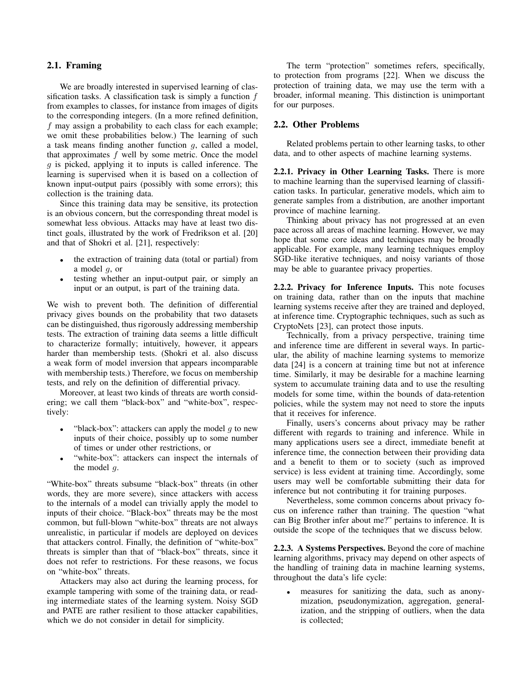## 2.1. Framing

We are broadly interested in supervised learning of classification tasks. A classification task is simply a function  $f$ from examples to classes, for instance from images of digits to the corresponding integers. (In a more refined definition, f may assign a probability to each class for each example; we omit these probabilities below.) The learning of such a task means finding another function g, called a model, that approximates  $f$  well by some metric. Once the model  $q$  is picked, applying it to inputs is called inference. The learning is supervised when it is based on a collection of known input-output pairs (possibly with some errors); this collection is the training data.

Since this training data may be sensitive, its protection is an obvious concern, but the corresponding threat model is somewhat less obvious. Attacks may have at least two distinct goals, illustrated by the work of Fredrikson et al. [20] and that of Shokri et al. [21], respectively:

- the extraction of training data (total or partial) from a model g, or
- testing whether an input-output pair, or simply an input or an output, is part of the training data.

We wish to prevent both. The definition of differential privacy gives bounds on the probability that two datasets can be distinguished, thus rigorously addressing membership tests. The extraction of training data seems a little difficult to characterize formally; intuitively, however, it appears harder than membership tests. (Shokri et al. also discuss a weak form of model inversion that appears incomparable with membership tests.) Therefore, we focus on membership tests, and rely on the definition of differential privacy.

Moreover, at least two kinds of threats are worth considering; we call them "black-box" and "white-box", respectively:

- "black-box": attackers can apply the model  $q$  to new inputs of their choice, possibly up to some number of times or under other restrictions, or
- "white-box": attackers can inspect the internals of the model  $q$ .

"White-box" threats subsume "black-box" threats (in other words, they are more severe), since attackers with access to the internals of a model can trivially apply the model to inputs of their choice. "Black-box" threats may be the most common, but full-blown "white-box" threats are not always unrealistic, in particular if models are deployed on devices that attackers control. Finally, the definition of "white-box" threats is simpler than that of "black-box" threats, since it does not refer to restrictions. For these reasons, we focus on "white-box" threats.

Attackers may also act during the learning process, for example tampering with some of the training data, or reading intermediate states of the learning system. Noisy SGD and PATE are rather resilient to those attacker capabilities, which we do not consider in detail for simplicity.

The term "protection" sometimes refers, specifically, to protection from programs [22]. When we discuss the protection of training data, we may use the term with a broader, informal meaning. This distinction is unimportant for our purposes.

## 2.2. Other Problems

Related problems pertain to other learning tasks, to other data, and to other aspects of machine learning systems.

2.2.1. Privacy in Other Learning Tasks. There is more to machine learning than the supervised learning of classification tasks. In particular, generative models, which aim to generate samples from a distribution, are another important province of machine learning.

Thinking about privacy has not progressed at an even pace across all areas of machine learning. However, we may hope that some core ideas and techniques may be broadly applicable. For example, many learning techniques employ SGD-like iterative techniques, and noisy variants of those may be able to guarantee privacy properties.

2.2.2. Privacy for Inference Inputs. This note focuses on training data, rather than on the inputs that machine learning systems receive after they are trained and deployed, at inference time. Cryptographic techniques, such as such as CryptoNets [23], can protect those inputs.

Technically, from a privacy perspective, training time and inference time are different in several ways. In particular, the ability of machine learning systems to memorize data [24] is a concern at training time but not at inference time. Similarly, it may be desirable for a machine learning system to accumulate training data and to use the resulting models for some time, within the bounds of data-retention policies, while the system may not need to store the inputs that it receives for inference.

Finally, users's concerns about privacy may be rather different with regards to training and inference. While in many applications users see a direct, immediate benefit at inference time, the connection between their providing data and a benefit to them or to society (such as improved service) is less evident at training time. Accordingly, some users may well be comfortable submitting their data for inference but not contributing it for training purposes.

Nevertheless, some common concerns about privacy focus on inference rather than training. The question "what can Big Brother infer about me?" pertains to inference. It is outside the scope of the techniques that we discuss below.

2.2.3. A Systems Perspectives. Beyond the core of machine learning algorithms, privacy may depend on other aspects of the handling of training data in machine learning systems, throughout the data's life cycle:

• measures for sanitizing the data, such as anonymization, pseudonymization, aggregation, generalization, and the stripping of outliers, when the data is collected;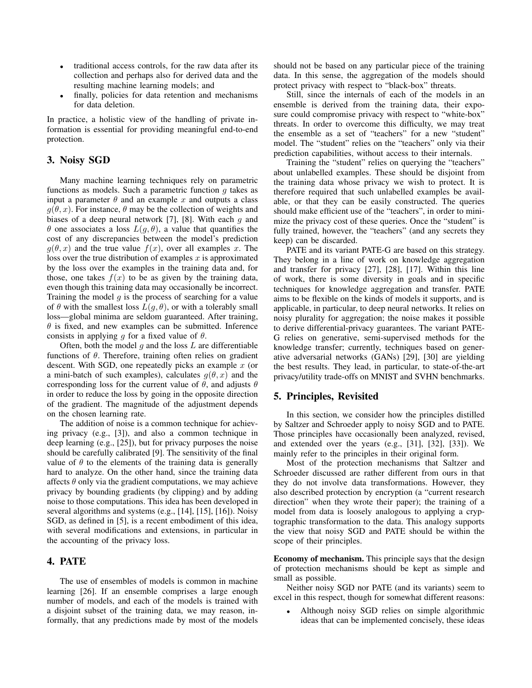- traditional access controls, for the raw data after its collection and perhaps also for derived data and the resulting machine learning models; and
- finally, policies for data retention and mechanisms for data deletion.

In practice, a holistic view of the handling of private information is essential for providing meaningful end-to-end protection.

# 3. Noisy SGD

Many machine learning techniques rely on parametric functions as models. Such a parametric function  $q$  takes as input a parameter  $\theta$  and an example x and outputs a class  $g(\theta, x)$ . For instance,  $\theta$  may be the collection of weights and biases of a deep neural network [7], [8]. With each  $g$  and θ one associates a loss  $L(g, θ)$ , a value that quantifies the cost of any discrepancies between the model's prediction  $g(\theta, x)$  and the true value  $f(x)$ , over all examples x. The loss over the true distribution of examples  $x$  is approximated by the loss over the examples in the training data and, for those, one takes  $f(x)$  to be as given by the training data, even though this training data may occasionally be incorrect. Training the model  $q$  is the process of searching for a value of  $\theta$  with the smallest loss  $L(q, \theta)$ , or with a tolerably small loss—global minima are seldom guaranteed. After training,  $\theta$  is fixed, and new examples can be submitted. Inference consists in applying g for a fixed value of  $\theta$ .

Often, both the model q and the loss  $L$  are differentiable functions of  $\theta$ . Therefore, training often relies on gradient descent. With SGD, one repeatedly picks an example  $x$  (or a mini-batch of such examples), calculates  $q(\theta, x)$  and the corresponding loss for the current value of  $\theta$ , and adjusts  $\theta$ in order to reduce the loss by going in the opposite direction of the gradient. The magnitude of the adjustment depends on the chosen learning rate.

The addition of noise is a common technique for achieving privacy (e.g., [3]), and also a common technique in deep learning (e.g., [25]), but for privacy purposes the noise should be carefully calibrated [9]. The sensitivity of the final value of  $\theta$  to the elements of the training data is generally hard to analyze. On the other hand, since the training data affects  $\theta$  only via the gradient computations, we may achieve privacy by bounding gradients (by clipping) and by adding noise to those computations. This idea has been developed in several algorithms and systems (e.g., [14], [15], [16]). Noisy SGD, as defined in [5], is a recent embodiment of this idea, with several modifications and extensions, in particular in the accounting of the privacy loss.

# 4. PATE

The use of ensembles of models is common in machine learning [26]. If an ensemble comprises a large enough number of models, and each of the models is trained with a disjoint subset of the training data, we may reason, informally, that any predictions made by most of the models should not be based on any particular piece of the training data. In this sense, the aggregation of the models should protect privacy with respect to "black-box" threats.

Still, since the internals of each of the models in an ensemble is derived from the training data, their exposure could compromise privacy with respect to "white-box" threats. In order to overcome this difficulty, we may treat the ensemble as a set of "teachers" for a new "student" model. The "student" relies on the "teachers" only via their prediction capabilities, without access to their internals.

Training the "student" relies on querying the "teachers" about unlabelled examples. These should be disjoint from the training data whose privacy we wish to protect. It is therefore required that such unlabelled examples be available, or that they can be easily constructed. The queries should make efficient use of the "teachers", in order to minimize the privacy cost of these queries. Once the "student" is fully trained, however, the "teachers" (and any secrets they keep) can be discarded.

PATE and its variant PATE-G are based on this strategy. They belong in a line of work on knowledge aggregation and transfer for privacy [27], [28], [17]. Within this line of work, there is some diversity in goals and in specific techniques for knowledge aggregation and transfer. PATE aims to be flexible on the kinds of models it supports, and is applicable, in particular, to deep neural networks. It relies on noisy plurality for aggregation; the noise makes it possible to derive differential-privacy guarantees. The variant PATE-G relies on generative, semi-supervised methods for the knowledge transfer; currently, techniques based on generative adversarial networks (GANs) [29], [30] are yielding the best results. They lead, in particular, to state-of-the-art privacy/utility trade-offs on MNIST and SVHN benchmarks.

# 5. Principles, Revisited

In this section, we consider how the principles distilled by Saltzer and Schroeder apply to noisy SGD and to PATE. Those principles have occasionally been analyzed, revised, and extended over the years (e.g., [31], [32], [33]). We mainly refer to the principles in their original form.

Most of the protection mechanisms that Saltzer and Schroeder discussed are rather different from ours in that they do not involve data transformations. However, they also described protection by encryption (a "current research direction" when they wrote their paper); the training of a model from data is loosely analogous to applying a cryptographic transformation to the data. This analogy supports the view that noisy SGD and PATE should be within the scope of their principles.

Economy of mechanism. This principle says that the design of protection mechanisms should be kept as simple and small as possible.

Neither noisy SGD nor PATE (and its variants) seem to excel in this respect, though for somewhat different reasons:

• Although noisy SGD relies on simple algorithmic ideas that can be implemented concisely, these ideas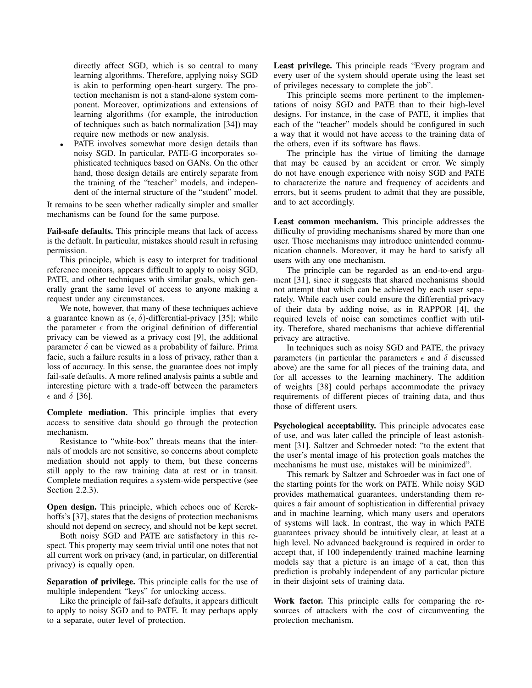directly affect SGD, which is so central to many learning algorithms. Therefore, applying noisy SGD is akin to performing open-heart surgery. The protection mechanism is not a stand-alone system component. Moreover, optimizations and extensions of learning algorithms (for example, the introduction of techniques such as batch normalization [34]) may require new methods or new analysis.

PATE involves somewhat more design details than noisy SGD. In particular, PATE-G incorporates sophisticated techniques based on GANs. On the other hand, those design details are entirely separate from the training of the "teacher" models, and independent of the internal structure of the "student" model.

It remains to be seen whether radically simpler and smaller mechanisms can be found for the same purpose.

Fail-safe defaults. This principle means that lack of access is the default. In particular, mistakes should result in refusing permission.

This principle, which is easy to interpret for traditional reference monitors, appears difficult to apply to noisy SGD, PATE, and other techniques with similar goals, which generally grant the same level of access to anyone making a request under any circumstances.

We note, however, that many of these techniques achieve a guarantee known as  $(\epsilon, \delta)$ -differential-privacy [35]; while the parameter  $\epsilon$  from the original definition of differential privacy can be viewed as a privacy cost [9], the additional parameter  $\delta$  can be viewed as a probability of failure. Prima facie, such a failure results in a loss of privacy, rather than a loss of accuracy. In this sense, the guarantee does not imply fail-safe defaults. A more refined analysis paints a subtle and interesting picture with a trade-off between the parameters  $\epsilon$  and  $\delta$  [36].

Complete mediation. This principle implies that every access to sensitive data should go through the protection mechanism.

Resistance to "white-box" threats means that the internals of models are not sensitive, so concerns about complete mediation should not apply to them, but these concerns still apply to the raw training data at rest or in transit. Complete mediation requires a system-wide perspective (see Section 2.2.3).

Open design. This principle, which echoes one of Kerckhoffs's [37], states that the designs of protection mechanisms should not depend on secrecy, and should not be kept secret.

Both noisy SGD and PATE are satisfactory in this respect. This property may seem trivial until one notes that not all current work on privacy (and, in particular, on differential privacy) is equally open.

Separation of privilege. This principle calls for the use of multiple independent "keys" for unlocking access.

Like the principle of fail-safe defaults, it appears difficult to apply to noisy SGD and to PATE. It may perhaps apply to a separate, outer level of protection.

Least privilege. This principle reads "Every program and every user of the system should operate using the least set of privileges necessary to complete the job".

This principle seems more pertinent to the implementations of noisy SGD and PATE than to their high-level designs. For instance, in the case of PATE, it implies that each of the "teacher" models should be configured in such a way that it would not have access to the training data of the others, even if its software has flaws.

The principle has the virtue of limiting the damage that may be caused by an accident or error. We simply do not have enough experience with noisy SGD and PATE to characterize the nature and frequency of accidents and errors, but it seems prudent to admit that they are possible, and to act accordingly.

Least common mechanism. This principle addresses the difficulty of providing mechanisms shared by more than one user. Those mechanisms may introduce unintended communication channels. Moreover, it may be hard to satisfy all users with any one mechanism.

The principle can be regarded as an end-to-end argument [31], since it suggests that shared mechanisms should not attempt that which can be achieved by each user separately. While each user could ensure the differential privacy of their data by adding noise, as in RAPPOR [4], the required levels of noise can sometimes conflict with utility. Therefore, shared mechanisms that achieve differential privacy are attractive.

In techniques such as noisy SGD and PATE, the privacy parameters (in particular the parameters  $\epsilon$  and  $\delta$  discussed above) are the same for all pieces of the training data, and for all accesses to the learning machinery. The addition of weights [38] could perhaps accommodate the privacy requirements of different pieces of training data, and thus those of different users.

Psychological acceptability. This principle advocates ease of use, and was later called the principle of least astonishment [31]. Saltzer and Schroeder noted: "to the extent that the user's mental image of his protection goals matches the mechanisms he must use, mistakes will be minimized".

This remark by Saltzer and Schroeder was in fact one of the starting points for the work on PATE. While noisy SGD provides mathematical guarantees, understanding them requires a fair amount of sophistication in differential privacy and in machine learning, which many users and operators of systems will lack. In contrast, the way in which PATE guarantees privacy should be intuitively clear, at least at a high level. No advanced background is required in order to accept that, if 100 independently trained machine learning models say that a picture is an image of a cat, then this prediction is probably independent of any particular picture in their disjoint sets of training data.

Work factor. This principle calls for comparing the resources of attackers with the cost of circumventing the protection mechanism.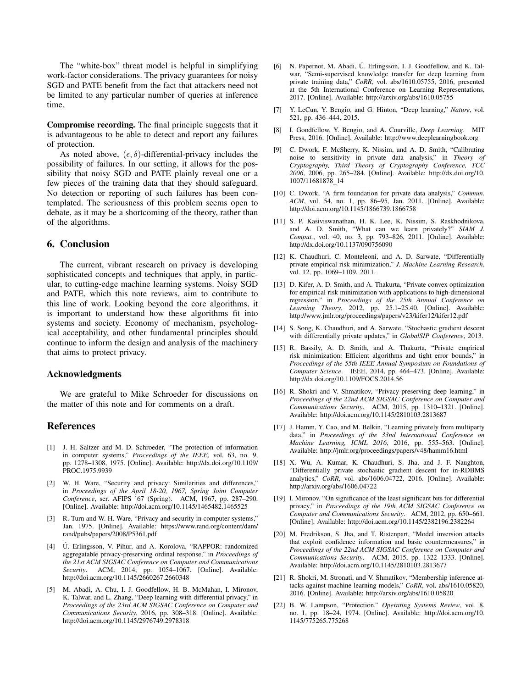The "white-box" threat model is helpful in simplifying work-factor considerations. The privacy guarantees for noisy SGD and PATE benefit from the fact that attackers need not be limited to any particular number of queries at inference time.

Compromise recording. The final principle suggests that it is advantageous to be able to detect and report any failures of protection.

As noted above,  $(\epsilon, \delta)$ -differential-privacy includes the possibility of failures. In our setting, it allows for the possibility that noisy SGD and PATE plainly reveal one or a few pieces of the training data that they should safeguard. No detection or reporting of such failures has been contemplated. The seriousness of this problem seems open to debate, as it may be a shortcoming of the theory, rather than of the algorithms.

#### 6. Conclusion

The current, vibrant research on privacy is developing sophisticated concepts and techniques that apply, in particular, to cutting-edge machine learning systems. Noisy SGD and PATE, which this note reviews, aim to contribute to this line of work. Looking beyond the core algorithms, it is important to understand how these algorithms fit into systems and society. Economy of mechanism, psychological acceptability, and other fundamental principles should continue to inform the design and analysis of the machinery that aims to protect privacy.

#### Acknowledgments

We are grateful to Mike Schroeder for discussions on the matter of this note and for comments on a draft.

## References

- [1] J. H. Saltzer and M. D. Schroeder, "The protection of information in computer systems," *Proceedings of the IEEE*, vol. 63, no. 9, pp. 1278–1308, 1975. [Online]. Available: http://dx.doi.org/10.1109/ PROC.1975.9939
- [2] W. H. Ware, "Security and privacy: Similarities and differences," in *Proceedings of the April 18-20, 1967, Spring Joint Computer Conference*, ser. AFIPS '67 (Spring). ACM, 1967, pp. 287–290. [Online]. Available: http://doi.acm.org/10.1145/1465482.1465525
- [3] R. Turn and W. H. Ware, "Privacy and security in computer systems," Jan. 1975. [Online]. Available: https://www.rand.org/content/dam/ rand/pubs/papers/2008/P5361.pdf
- [4] Ú. Erlingsson, V. Pihur, and A. Korolova, "RAPPOR: randomized aggregatable privacy-preserving ordinal response," in *Proceedings of the 21st ACM SIGSAC Conference on Computer and Communications Security*. ACM, 2014, pp. 1054–1067. [Online]. Available: http://doi.acm.org/10.1145/2660267.2660348
- [5] M. Abadi, A. Chu, I. J. Goodfellow, H. B. McMahan, I. Mironov, K. Talwar, and L. Zhang, "Deep learning with differential privacy," in *Proceedings of the 23rd ACM SIGSAC Conference on Computer and Communications Security*, 2016, pp. 308–318. [Online]. Available: http://doi.acm.org/10.1145/2976749.2978318
- [6] N. Papernot, M. Abadi, Ú. Erlingsson, I. J. Goodfellow, and K. Talwar, "Semi-supervised knowledge transfer for deep learning from private training data," *CoRR*, vol. abs/1610.05755, 2016, presented at the 5th International Conference on Learning Representations, 2017. [Online]. Available: http://arxiv.org/abs/1610.05755
- [7] Y. LeCun, Y. Bengio, and G. Hinton, "Deep learning," *Nature*, vol. 521, pp. 436–444, 2015.
- [8] I. Goodfellow, Y. Bengio, and A. Courville, *Deep Learning*. MIT Press, 2016. [Online]. Available: http://www.deeplearningbook.org
- [9] C. Dwork, F. McSherry, K. Nissim, and A. D. Smith, "Calibrating noise to sensitivity in private data analysis," in *Theory of Cryptography, Third Theory of Cryptography Conference, TCC 2006*, 2006, pp. 265–284. [Online]. Available: http://dx.doi.org/10. 1007/11681878 14
- [10] C. Dwork, "A firm foundation for private data analysis," *Commun. ACM*, vol. 54, no. 1, pp. 86–95, Jan. 2011. [Online]. Available: http://doi.acm.org/10.1145/1866739.1866758
- [11] S. P. Kasiviswanathan, H. K. Lee, K. Nissim, S. Raskhodnikova, and A. D. Smith, "What can we learn privately?" *SIAM J. Comput.*, vol. 40, no. 3, pp. 793–826, 2011. [Online]. Available: http://dx.doi.org/10.1137/090756090
- [12] K. Chaudhuri, C. Monteleoni, and A. D. Sarwate, "Differentially private empirical risk minimization," *J. Machine Learning Research*, vol. 12, pp. 1069–1109, 2011.
- [13] D. Kifer, A. D. Smith, and A. Thakurta, "Private convex optimization for empirical risk minimization with applications to high-dimensional regression," in *Proceedings of the 25th Annual Conference on Learning Theory*, 2012, pp. 25.1–25.40. [Online]. Available: http://www.jmlr.org/proceedings/papers/v23/kifer12/kifer12.pdf
- [14] S. Song, K. Chaudhuri, and A. Sarwate, "Stochastic gradient descent with differentially private updates," in *GlobalSIP Conference*, 2013.
- [15] R. Bassily, A. D. Smith, and A. Thakurta, "Private empirical risk minimization: Efficient algorithms and tight error bounds," in *Proceedings of the 55th IEEE Annual Symposium on Foundations of Computer Science*. IEEE, 2014, pp. 464–473. [Online]. Available: http://dx.doi.org/10.1109/FOCS.2014.56
- [16] R. Shokri and V. Shmatikov, "Privacy-preserving deep learning," in *Proceedings of the 22nd ACM SIGSAC Conference on Computer and Communications Security*. ACM, 2015, pp. 1310–1321. [Online]. Available: http://doi.acm.org/10.1145/2810103.2813687
- [17] J. Hamm, Y. Cao, and M. Belkin, "Learning privately from multiparty data," in *Proceedings of the 33nd International Conference on Machine Learning, ICML 2016*, 2016, pp. 555–563. [Online]. Available: http://jmlr.org/proceedings/papers/v48/hamm16.html
- [18] X. Wu, A. Kumar, K. Chaudhuri, S. Jha, and J. F. Naughton, "Differentially private stochastic gradient descent for in-RDBMS analytics," *CoRR*, vol. abs/1606.04722, 2016. [Online]. Available: http://arxiv.org/abs/1606.04722
- [19] I. Mironov, "On significance of the least significant bits for differential privacy," in *Proceedings of the 19th ACM SIGSAC Conference on Computer and Communications Security*. ACM, 2012, pp. 650–661. [Online]. Available: http://doi.acm.org/10.1145/2382196.2382264
- [20] M. Fredrikson, S. Jha, and T. Ristenpart, "Model inversion attacks that exploit confidence information and basic countermeasures," in *Proceedings of the 22nd ACM SIGSAC Conference on Computer and Communications Security*. ACM, 2015, pp. 1322–1333. [Online]. Available: http://doi.acm.org/10.1145/2810103.2813677
- [21] R. Shokri, M. Stronati, and V. Shmatikov, "Membership inference attacks against machine learning models," *CoRR*, vol. abs/1610.05820, 2016. [Online]. Available: http://arxiv.org/abs/1610.05820
- [22] B. W. Lampson, "Protection," *Operating Systems Review*, vol. 8, no. 1, pp. 18–24, 1974. [Online]. Available: http://doi.acm.org/10. 1145/775265.775268